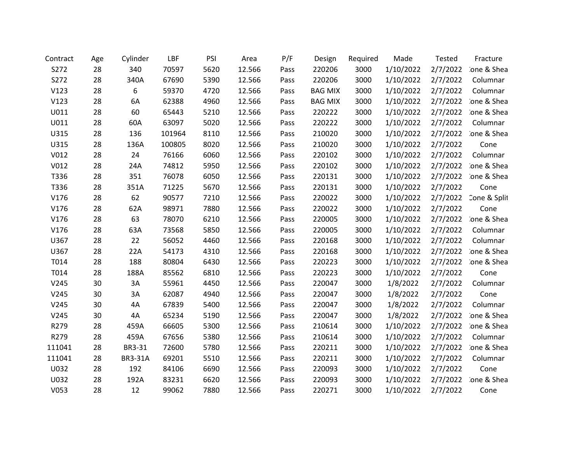| Contract | Age | Cylinder       | LBF    | PSI  | Area   | P/F  | Design         | Required | Made      | <b>Tested</b> | Fracture            |
|----------|-----|----------------|--------|------|--------|------|----------------|----------|-----------|---------------|---------------------|
| S272     | 28  | 340            | 70597  | 5620 | 12.566 | Pass | 220206         | 3000     | 1/10/2022 | 2/7/2022      | one & Shea          |
| S272     | 28  | 340A           | 67690  | 5390 | 12.566 | Pass | 220206         | 3000     | 1/10/2022 | 2/7/2022      | Columnar            |
| V123     | 28  | 6              | 59370  | 4720 | 12.566 | Pass | <b>BAG MIX</b> | 3000     | 1/10/2022 | 2/7/2022      | Columnar            |
| V123     | 28  | 6A             | 62388  | 4960 | 12.566 | Pass | <b>BAG MIX</b> | 3000     | 1/10/2022 | 2/7/2022      | one & Shea          |
| U011     | 28  | 60             | 65443  | 5210 | 12.566 | Pass | 220222         | 3000     | 1/10/2022 | 2/7/2022      | ione & Shea         |
| U011     | 28  | 60A            | 63097  | 5020 | 12.566 | Pass | 220222         | 3000     | 1/10/2022 | 2/7/2022      | Columnar            |
| U315     | 28  | 136            | 101964 | 8110 | 12.566 | Pass | 210020         | 3000     | 1/10/2022 | 2/7/2022      | ione & Shea         |
| U315     | 28  | 136A           | 100805 | 8020 | 12.566 | Pass | 210020         | 3000     | 1/10/2022 | 2/7/2022      | Cone                |
| V012     | 28  | 24             | 76166  | 6060 | 12.566 | Pass | 220102         | 3000     | 1/10/2022 | 2/7/2022      | Columnar            |
| V012     | 28  | 24A            | 74812  | 5950 | 12.566 | Pass | 220102         | 3000     | 1/10/2022 | 2/7/2022      | ione & Shea         |
| T336     | 28  | 351            | 76078  | 6050 | 12.566 | Pass | 220131         | 3000     | 1/10/2022 |               | 2/7/2022 one & Shea |
| T336     | 28  | 351A           | 71225  | 5670 | 12.566 | Pass | 220131         | 3000     | 1/10/2022 | 2/7/2022      | Cone                |
| V176     | 28  | 62             | 90577  | 7210 | 12.566 | Pass | 220022         | 3000     | 1/10/2022 | 2/7/2022      | Cone & Split        |
| V176     | 28  | 62A            | 98971  | 7880 | 12.566 | Pass | 220022         | 3000     | 1/10/2022 | 2/7/2022      | Cone                |
| V176     | 28  | 63             | 78070  | 6210 | 12.566 | Pass | 220005         | 3000     | 1/10/2022 | 2/7/2022      | ione & Shea         |
| V176     | 28  | 63A            | 73568  | 5850 | 12.566 | Pass | 220005         | 3000     | 1/10/2022 | 2/7/2022      | Columnar            |
| U367     | 28  | 22             | 56052  | 4460 | 12.566 | Pass | 220168         | 3000     | 1/10/2022 | 2/7/2022      | Columnar            |
| U367     | 28  | 22A            | 54173  | 4310 | 12.566 | Pass | 220168         | 3000     | 1/10/2022 | 2/7/2022      | ione & Shea         |
| T014     | 28  | 188            | 80804  | 6430 | 12.566 | Pass | 220223         | 3000     | 1/10/2022 | 2/7/2022      | one & Shea          |
| T014     | 28  | 188A           | 85562  | 6810 | 12.566 | Pass | 220223         | 3000     | 1/10/2022 | 2/7/2022      | Cone                |
| V245     | 30  | 3A             | 55961  | 4450 | 12.566 | Pass | 220047         | 3000     | 1/8/2022  | 2/7/2022      | Columnar            |
| V245     | 30  | 3A             | 62087  | 4940 | 12.566 | Pass | 220047         | 3000     | 1/8/2022  | 2/7/2022      | Cone                |
| V245     | 30  | 4A             | 67839  | 5400 | 12.566 | Pass | 220047         | 3000     | 1/8/2022  | 2/7/2022      | Columnar            |
| V245     | 30  | 4A             | 65234  | 5190 | 12.566 | Pass | 220047         | 3000     | 1/8/2022  | 2/7/2022      | ione & Shea         |
| R279     | 28  | 459A           | 66605  | 5300 | 12.566 | Pass | 210614         | 3000     | 1/10/2022 | 2/7/2022      | ione & Shea         |
| R279     | 28  | 459A           | 67656  | 5380 | 12.566 | Pass | 210614         | 3000     | 1/10/2022 | 2/7/2022      | Columnar            |
| 111041   | 28  | BR3-31         | 72600  | 5780 | 12.566 | Pass | 220211         | 3000     | 1/10/2022 | 2/7/2022      | ione & Shea         |
| 111041   | 28  | <b>BR3-31A</b> | 69201  | 5510 | 12.566 | Pass | 220211         | 3000     | 1/10/2022 | 2/7/2022      | Columnar            |
| U032     | 28  | 192            | 84106  | 6690 | 12.566 | Pass | 220093         | 3000     | 1/10/2022 | 2/7/2022      | Cone                |
| U032     | 28  | 192A           | 83231  | 6620 | 12.566 | Pass | 220093         | 3000     | 1/10/2022 | 2/7/2022      | ione & Shea         |
| V053     | 28  | 12             | 99062  | 7880 | 12.566 | Pass | 220271         | 3000     | 1/10/2022 | 2/7/2022      | Cone                |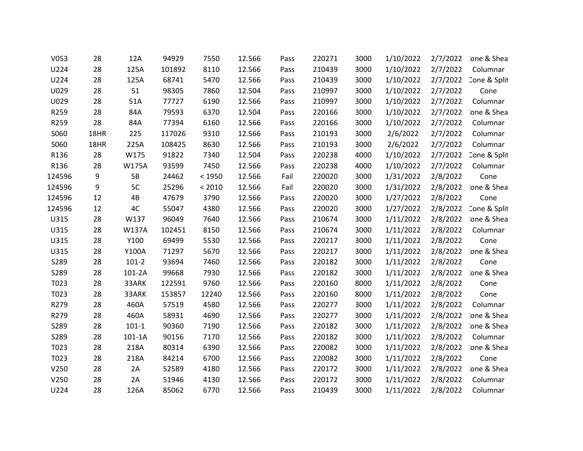| V053   | 28   | 12A          | 94929  | 7550   | 12.566 | Pass | 220271 | 3000 | 1/10/2022 | 2/7/2022 | ione & Shea  |
|--------|------|--------------|--------|--------|--------|------|--------|------|-----------|----------|--------------|
| U224   | 28   | 125A         | 101892 | 8110   | 12.566 | Pass | 210439 | 3000 | 1/10/2022 | 2/7/2022 | Columnar     |
| U224   | 28   | 125A         | 68741  | 5470   | 12.566 | Pass | 210439 | 3000 | 1/10/2022 | 2/7/2022 | Cone & Split |
| U029   | 28   | 51           | 98305  | 7860   | 12.504 | Pass | 210997 | 3000 | 1/10/2022 | 2/7/2022 | Cone         |
| U029   | 28   | 51A          | 77727  | 6190   | 12.566 | Pass | 210997 | 3000 | 1/10/2022 | 2/7/2022 | Columnar     |
| R259   | 28   | 84A          | 79593  | 6370   | 12.504 | Pass | 220166 | 3000 | 1/10/2022 | 2/7/2022 | ione & Shea  |
| R259   | 28   | 84A          | 77394  | 6160   | 12.566 | Pass | 220166 | 3000 | 1/10/2022 | 2/7/2022 | Columnar     |
| S060   | 18HR | 225          | 117026 | 9310   | 12.566 | Pass | 210193 | 3000 | 2/6/2022  | 2/7/2022 | Columnar     |
| S060   | 18HR | 225A         | 108425 | 8630   | 12.566 | Pass | 210193 | 3000 | 2/6/2022  | 2/7/2022 | Columnar     |
| R136   | 28   | W175         | 91822  | 7340   | 12.504 | Pass | 220238 | 4000 | 1/10/2022 | 2/7/2022 | Cone & Split |
| R136   | 28   | <b>W175A</b> | 93599  | 7450   | 12.566 | Pass | 220238 | 4000 | 1/10/2022 | 2/7/2022 | Columnar     |
| 124596 | 9    | 5B           | 24462  | < 1950 | 12.566 | Fail | 220020 | 3000 | 1/31/2022 | 2/8/2022 | Cone         |
| 124596 | 9    | 5C           | 25296  | < 2010 | 12.566 | Fail | 220020 | 3000 | 1/31/2022 | 2/8/2022 | ione & Shea  |
| 124596 | 12   | 4B           | 47679  | 3790   | 12.566 | Pass | 220020 | 3000 | 1/27/2022 | 2/8/2022 | Cone         |
| 124596 | 12   | 4C           | 55047  | 4380   | 12.566 | Pass | 220020 | 3000 | 1/27/2022 | 2/8/2022 | Cone & Split |
| U315   | 28   | W137         | 96049  | 7640   | 12.566 | Pass | 210674 | 3000 | 1/11/2022 | 2/8/2022 | ione & Shea  |
| U315   | 28   | <b>W137A</b> | 102451 | 8150   | 12.566 | Pass | 210674 | 3000 | 1/11/2022 | 2/8/2022 | Columnar     |
| U315   | 28   | Y100         | 69499  | 5530   | 12.566 | Pass | 220217 | 3000 | 1/11/2022 | 2/8/2022 | Cone         |
| U315   | 28   | Y100A        | 71297  | 5670   | 12.566 | Pass | 220217 | 3000 | 1/11/2022 | 2/8/2022 | ione & Shea  |
| S289   | 28   | $101-2$      | 93694  | 7460   | 12.566 | Pass | 220182 | 3000 | 1/11/2022 | 2/8/2022 | Cone         |
| S289   | 28   | 101-2A       | 99668  | 7930   | 12.566 | Pass | 220182 | 3000 | 1/11/2022 | 2/8/2022 | one & Shea   |
| T023   | 28   | 33ARK        | 122591 | 9760   | 12.566 | Pass | 220160 | 8000 | 1/11/2022 | 2/8/2022 | Cone         |
| T023   | 28   | 33ARK        | 153857 | 12240  | 12.566 | Pass | 220160 | 8000 | 1/11/2022 | 2/8/2022 | Cone         |
| R279   | 28   | 460A         | 57519  | 4580   | 12.566 | Pass | 220277 | 3000 | 1/11/2022 | 2/8/2022 | Columnar     |
| R279   | 28   | 460A         | 58931  | 4690   | 12.566 | Pass | 220277 | 3000 | 1/11/2022 | 2/8/2022 | ione & Shea  |
| S289   | 28   | $101-1$      | 90360  | 7190   | 12.566 | Pass | 220182 | 3000 | 1/11/2022 | 2/8/2022 | ione & Shea  |
| S289   | 28   | 101-1A       | 90156  | 7170   | 12.566 | Pass | 220182 | 3000 | 1/11/2022 | 2/8/2022 | Columnar     |
| T023   | 28   | 218A         | 80314  | 6390   | 12.566 | Pass | 220082 | 3000 | 1/11/2022 | 2/8/2022 | ione & Shea  |
| T023   | 28   | 218A         | 84214  | 6700   | 12.566 | Pass | 220082 | 3000 | 1/11/2022 | 2/8/2022 | Cone         |
| V250   | 28   | 2A           | 52589  | 4180   | 12.566 | Pass | 220172 | 3000 | 1/11/2022 | 2/8/2022 | ione & Shea  |
| V250   | 28   | 2A           | 51946  | 4130   | 12.566 | Pass | 220172 | 3000 | 1/11/2022 | 2/8/2022 | Columnar     |
| U224   | 28   | 126A         | 85062  | 6770   | 12.566 | Pass | 210439 | 3000 | 1/11/2022 | 2/8/2022 | Columnar     |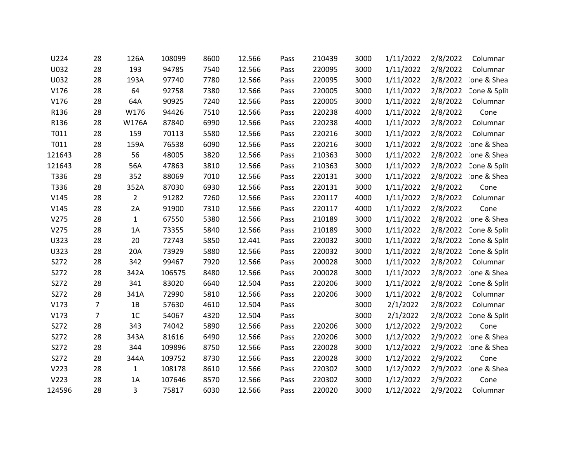| U224   | 28             | 126A           | 108099 | 8600 | 12.566 | Pass | 210439 | 3000 | 1/11/2022 | 2/8/2022 | Columnar     |
|--------|----------------|----------------|--------|------|--------|------|--------|------|-----------|----------|--------------|
| U032   | 28             | 193            | 94785  | 7540 | 12.566 | Pass | 220095 | 3000 | 1/11/2022 | 2/8/2022 | Columnar     |
| U032   | 28             | 193A           | 97740  | 7780 | 12.566 | Pass | 220095 | 3000 | 1/11/2022 | 2/8/2022 | ione & Shea  |
| V176   | 28             | 64             | 92758  | 7380 | 12.566 | Pass | 220005 | 3000 | 1/11/2022 | 2/8/2022 | Cone & Split |
| V176   | 28             | 64A            | 90925  | 7240 | 12.566 | Pass | 220005 | 3000 | 1/11/2022 | 2/8/2022 | Columnar     |
| R136   | 28             | W176           | 94426  | 7510 | 12.566 | Pass | 220238 | 4000 | 1/11/2022 | 2/8/2022 | Cone         |
| R136   | 28             | W176A          | 87840  | 6990 | 12.566 | Pass | 220238 | 4000 | 1/11/2022 | 2/8/2022 | Columnar     |
| T011   | 28             | 159            | 70113  | 5580 | 12.566 | Pass | 220216 | 3000 | 1/11/2022 | 2/8/2022 | Columnar     |
| T011   | 28             | 159A           | 76538  | 6090 | 12.566 | Pass | 220216 | 3000 | 1/11/2022 | 2/8/2022 | ione & Shea  |
| 121643 | 28             | 56             | 48005  | 3820 | 12.566 | Pass | 210363 | 3000 | 1/11/2022 | 2/8/2022 | ione & Shea  |
| 121643 | 28             | 56A            | 47863  | 3810 | 12.566 | Pass | 210363 | 3000 | 1/11/2022 | 2/8/2022 | Cone & Split |
| T336   | 28             | 352            | 88069  | 7010 | 12.566 | Pass | 220131 | 3000 | 1/11/2022 | 2/8/2022 | ione & Shea  |
| T336   | 28             | 352A           | 87030  | 6930 | 12.566 | Pass | 220131 | 3000 | 1/11/2022 | 2/8/2022 | Cone         |
| V145   | 28             | $\overline{2}$ | 91282  | 7260 | 12.566 | Pass | 220117 | 4000 | 1/11/2022 | 2/8/2022 | Columnar     |
| V145   | 28             | 2A             | 91900  | 7310 | 12.566 | Pass | 220117 | 4000 | 1/11/2022 | 2/8/2022 | Cone         |
| V275   | 28             | $\mathbf{1}$   | 67550  | 5380 | 12.566 | Pass | 210189 | 3000 | 1/11/2022 | 2/8/2022 | ione & Shea  |
| V275   | 28             | 1A             | 73355  | 5840 | 12.566 | Pass | 210189 | 3000 | 1/11/2022 | 2/8/2022 | Cone & Split |
| U323   | 28             | 20             | 72743  | 5850 | 12.441 | Pass | 220032 | 3000 | 1/11/2022 | 2/8/2022 | Cone & Split |
| U323   | 28             | 20A            | 73929  | 5880 | 12.566 | Pass | 220032 | 3000 | 1/11/2022 | 2/8/2022 | Cone & Split |
| S272   | 28             | 342            | 99467  | 7920 | 12.566 | Pass | 200028 | 3000 | 1/11/2022 | 2/8/2022 | Columnar     |
| S272   | 28             | 342A           | 106575 | 8480 | 12.566 | Pass | 200028 | 3000 | 1/11/2022 | 2/8/2022 | ione & Shea  |
| S272   | 28             | 341            | 83020  | 6640 | 12.504 | Pass | 220206 | 3000 | 1/11/2022 | 2/8/2022 | Cone & Split |
| S272   | 28             | 341A           | 72990  | 5810 | 12.566 | Pass | 220206 | 3000 | 1/11/2022 | 2/8/2022 | Columnar     |
| V173   | $\overline{7}$ | 1B             | 57630  | 4610 | 12.504 | Pass |        | 3000 | 2/1/2022  | 2/8/2022 | Columnar     |
| V173   | 7              | 1 <sub>C</sub> | 54067  | 4320 | 12.504 | Pass |        | 3000 | 2/1/2022  | 2/8/2022 | Cone & Split |
| S272   | 28             | 343            | 74042  | 5890 | 12.566 | Pass | 220206 | 3000 | 1/12/2022 | 2/9/2022 | Cone         |
| S272   | 28             | 343A           | 81616  | 6490 | 12.566 | Pass | 220206 | 3000 | 1/12/2022 | 2/9/2022 | ione & Shea  |
| S272   | 28             | 344            | 109896 | 8750 | 12.566 | Pass | 220028 | 3000 | 1/12/2022 | 2/9/2022 | ione & Shea  |
| S272   | 28             | 344A           | 109752 | 8730 | 12.566 | Pass | 220028 | 3000 | 1/12/2022 | 2/9/2022 | Cone         |
| V223   | 28             | 1              | 108178 | 8610 | 12.566 | Pass | 220302 | 3000 | 1/12/2022 | 2/9/2022 | ione & Shea  |
| V223   | 28             | 1A             | 107646 | 8570 | 12.566 | Pass | 220302 | 3000 | 1/12/2022 | 2/9/2022 | Cone         |
| 124596 | 28             | 3              | 75817  | 6030 | 12.566 | Pass | 220020 | 3000 | 1/12/2022 | 2/9/2022 | Columnar     |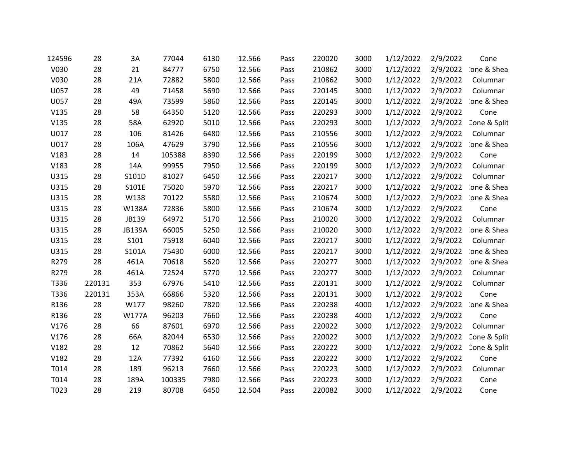| 124596 | 28     | 3A            | 77044  | 6130 | 12.566 | Pass | 220020 | 3000 | 1/12/2022 | 2/9/2022 | Cone         |
|--------|--------|---------------|--------|------|--------|------|--------|------|-----------|----------|--------------|
| V030   | 28     | 21            | 84777  | 6750 | 12.566 | Pass | 210862 | 3000 | 1/12/2022 | 2/9/2022 | ione & Shea  |
| V030   | 28     | 21A           | 72882  | 5800 | 12.566 | Pass | 210862 | 3000 | 1/12/2022 | 2/9/2022 | Columnar     |
| U057   | 28     | 49            | 71458  | 5690 | 12.566 | Pass | 220145 | 3000 | 1/12/2022 | 2/9/2022 | Columnar     |
| U057   | 28     | 49A           | 73599  | 5860 | 12.566 | Pass | 220145 | 3000 | 1/12/2022 | 2/9/2022 | ione & Shea  |
| V135   | 28     | 58            | 64350  | 5120 | 12.566 | Pass | 220293 | 3000 | 1/12/2022 | 2/9/2022 | Cone         |
| V135   | 28     | 58A           | 62920  | 5010 | 12.566 | Pass | 220293 | 3000 | 1/12/2022 | 2/9/2022 | Cone & Split |
| U017   | 28     | 106           | 81426  | 6480 | 12.566 | Pass | 210556 | 3000 | 1/12/2022 | 2/9/2022 | Columnar     |
| U017   | 28     | 106A          | 47629  | 3790 | 12.566 | Pass | 210556 | 3000 | 1/12/2022 | 2/9/2022 | ione & Shea  |
| V183   | 28     | 14            | 105388 | 8390 | 12.566 | Pass | 220199 | 3000 | 1/12/2022 | 2/9/2022 | Cone         |
| V183   | 28     | 14A           | 99955  | 7950 | 12.566 | Pass | 220199 | 3000 | 1/12/2022 | 2/9/2022 | Columnar     |
| U315   | 28     | S101D         | 81027  | 6450 | 12.566 | Pass | 220217 | 3000 | 1/12/2022 | 2/9/2022 | Columnar     |
| U315   | 28     | S101E         | 75020  | 5970 | 12.566 | Pass | 220217 | 3000 | 1/12/2022 | 2/9/2022 | ione & Shea  |
| U315   | 28     | W138          | 70122  | 5580 | 12.566 | Pass | 210674 | 3000 | 1/12/2022 | 2/9/2022 | ione & Shea  |
| U315   | 28     | <b>W138A</b>  | 72836  | 5800 | 12.566 | Pass | 210674 | 3000 | 1/12/2022 | 2/9/2022 | Cone         |
| U315   | 28     | JB139         | 64972  | 5170 | 12.566 | Pass | 210020 | 3000 | 1/12/2022 | 2/9/2022 | Columnar     |
| U315   | 28     | <b>JB139A</b> | 66005  | 5250 | 12.566 | Pass | 210020 | 3000 | 1/12/2022 | 2/9/2022 | ione & Shea  |
| U315   | 28     | S101          | 75918  | 6040 | 12.566 | Pass | 220217 | 3000 | 1/12/2022 | 2/9/2022 | Columnar     |
| U315   | 28     | S101A         | 75430  | 6000 | 12.566 | Pass | 220217 | 3000 | 1/12/2022 | 2/9/2022 | ione & Shea  |
| R279   | 28     | 461A          | 70618  | 5620 | 12.566 | Pass | 220277 | 3000 | 1/12/2022 | 2/9/2022 | ione & Shea  |
| R279   | 28     | 461A          | 72524  | 5770 | 12.566 | Pass | 220277 | 3000 | 1/12/2022 | 2/9/2022 | Columnar     |
| T336   | 220131 | 353           | 67976  | 5410 | 12.566 | Pass | 220131 | 3000 | 1/12/2022 | 2/9/2022 | Columnar     |
| T336   | 220131 | 353A          | 66866  | 5320 | 12.566 | Pass | 220131 | 3000 | 1/12/2022 | 2/9/2022 | Cone         |
| R136   | 28     | W177          | 98260  | 7820 | 12.566 | Pass | 220238 | 4000 | 1/12/2022 | 2/9/2022 | ione & Shea  |
| R136   | 28     | <b>W177A</b>  | 96203  | 7660 | 12.566 | Pass | 220238 | 4000 | 1/12/2022 | 2/9/2022 | Cone         |
| V176   | 28     | 66            | 87601  | 6970 | 12.566 | Pass | 220022 | 3000 | 1/12/2022 | 2/9/2022 | Columnar     |
| V176   | 28     | 66A           | 82044  | 6530 | 12.566 | Pass | 220022 | 3000 | 1/12/2022 | 2/9/2022 | Cone & Split |
| V182   | 28     | 12            | 70862  | 5640 | 12.566 | Pass | 220222 | 3000 | 1/12/2022 | 2/9/2022 | Cone & Split |
| V182   | 28     | 12A           | 77392  | 6160 | 12.566 | Pass | 220222 | 3000 | 1/12/2022 | 2/9/2022 | Cone         |
| T014   | 28     | 189           | 96213  | 7660 | 12.566 | Pass | 220223 | 3000 | 1/12/2022 | 2/9/2022 | Columnar     |
| T014   | 28     | 189A          | 100335 | 7980 | 12.566 | Pass | 220223 | 3000 | 1/12/2022 | 2/9/2022 | Cone         |
| T023   | 28     | 219           | 80708  | 6450 | 12.504 | Pass | 220082 | 3000 | 1/12/2022 | 2/9/2022 | Cone         |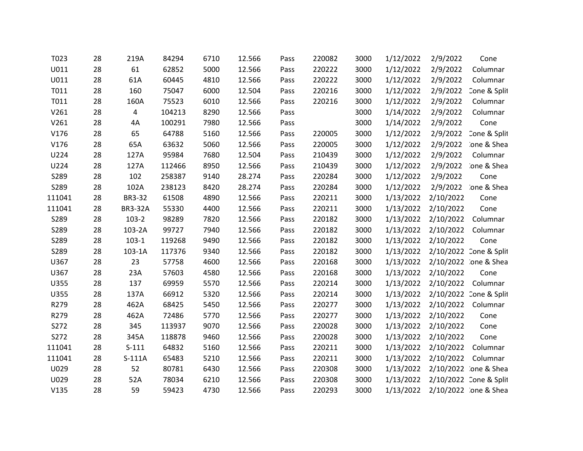| T023   | 28 | 219A           | 84294  | 6710 | 12.566 | Pass | 220082 | 3000 | 1/12/2022 | 2/9/2022  | Cone                   |
|--------|----|----------------|--------|------|--------|------|--------|------|-----------|-----------|------------------------|
| U011   | 28 | 61             | 62852  | 5000 | 12.566 | Pass | 220222 | 3000 | 1/12/2022 | 2/9/2022  | Columnar               |
| U011   | 28 | 61A            | 60445  | 4810 | 12.566 | Pass | 220222 | 3000 | 1/12/2022 | 2/9/2022  | Columnar               |
| T011   | 28 | 160            | 75047  | 6000 | 12.504 | Pass | 220216 | 3000 | 1/12/2022 | 2/9/2022  | Cone & Split           |
| T011   | 28 | 160A           | 75523  | 6010 | 12.566 | Pass | 220216 | 3000 | 1/12/2022 | 2/9/2022  | Columnar               |
| V261   | 28 | 4              | 104213 | 8290 | 12.566 | Pass |        | 3000 | 1/14/2022 | 2/9/2022  | Columnar               |
| V261   | 28 | 4A             | 100291 | 7980 | 12.566 | Pass |        | 3000 | 1/14/2022 | 2/9/2022  | Cone                   |
| V176   | 28 | 65             | 64788  | 5160 | 12.566 | Pass | 220005 | 3000 | 1/12/2022 | 2/9/2022  | Cone & Split           |
| V176   | 28 | 65A            | 63632  | 5060 | 12.566 | Pass | 220005 | 3000 | 1/12/2022 | 2/9/2022  | ione & Shea            |
| U224   | 28 | 127A           | 95984  | 7680 | 12.504 | Pass | 210439 | 3000 | 1/12/2022 | 2/9/2022  | Columnar               |
| U224   | 28 | 127A           | 112466 | 8950 | 12.566 | Pass | 210439 | 3000 | 1/12/2022 | 2/9/2022  | ione & Shea            |
| S289   | 28 | 102            | 258387 | 9140 | 28.274 | Pass | 220284 | 3000 | 1/12/2022 | 2/9/2022  | Cone                   |
| S289   | 28 | 102A           | 238123 | 8420 | 28.274 | Pass | 220284 | 3000 | 1/12/2022 | 2/9/2022  | one & Shea             |
| 111041 | 28 | BR3-32         | 61508  | 4890 | 12.566 | Pass | 220211 | 3000 | 1/13/2022 | 2/10/2022 | Cone                   |
| 111041 | 28 | <b>BR3-32A</b> | 55330  | 4400 | 12.566 | Pass | 220211 | 3000 | 1/13/2022 | 2/10/2022 | Cone                   |
| S289   | 28 | $103-2$        | 98289  | 7820 | 12.566 | Pass | 220182 | 3000 | 1/13/2022 | 2/10/2022 | Columnar               |
| S289   | 28 | 103-2A         | 99727  | 7940 | 12.566 | Pass | 220182 | 3000 | 1/13/2022 | 2/10/2022 | Columnar               |
| S289   | 28 | $103-1$        | 119268 | 9490 | 12.566 | Pass | 220182 | 3000 | 1/13/2022 | 2/10/2022 | Cone                   |
| S289   | 28 | 103-1A         | 117376 | 9340 | 12.566 | Pass | 220182 | 3000 | 1/13/2022 |           | 2/10/2022 Cone & Split |
| U367   | 28 | 23             | 57758  | 4600 | 12.566 | Pass | 220168 | 3000 | 1/13/2022 |           | 2/10/2022 one & Shea   |
| U367   | 28 | 23A            | 57603  | 4580 | 12.566 | Pass | 220168 | 3000 | 1/13/2022 | 2/10/2022 | Cone                   |
| U355   | 28 | 137            | 69959  | 5570 | 12.566 | Pass | 220214 | 3000 | 1/13/2022 | 2/10/2022 | Columnar               |
| U355   | 28 | 137A           | 66912  | 5320 | 12.566 | Pass | 220214 | 3000 | 1/13/2022 |           | 2/10/2022 Cone & Split |
| R279   | 28 | 462A           | 68425  | 5450 | 12.566 | Pass | 220277 | 3000 | 1/13/2022 | 2/10/2022 | Columnar               |
| R279   | 28 | 462A           | 72486  | 5770 | 12.566 | Pass | 220277 | 3000 | 1/13/2022 | 2/10/2022 | Cone                   |
| S272   | 28 | 345            | 113937 | 9070 | 12.566 | Pass | 220028 | 3000 | 1/13/2022 | 2/10/2022 | Cone                   |
| S272   | 28 | 345A           | 118878 | 9460 | 12.566 | Pass | 220028 | 3000 | 1/13/2022 | 2/10/2022 | Cone                   |
| 111041 | 28 | $S-111$        | 64832  | 5160 | 12.566 | Pass | 220211 | 3000 | 1/13/2022 | 2/10/2022 | Columnar               |
| 111041 | 28 | $S-111A$       | 65483  | 5210 | 12.566 | Pass | 220211 | 3000 | 1/13/2022 | 2/10/2022 | Columnar               |
| U029   | 28 | 52             | 80781  | 6430 | 12.566 | Pass | 220308 | 3000 | 1/13/2022 |           | 2/10/2022 one & Shea   |
| U029   | 28 | 52A            | 78034  | 6210 | 12.566 | Pass | 220308 | 3000 | 1/13/2022 |           | 2/10/2022 Cone & Split |
| V135   | 28 | 59             | 59423  | 4730 | 12.566 | Pass | 220293 | 3000 | 1/13/2022 |           | 2/10/2022 one & Shea   |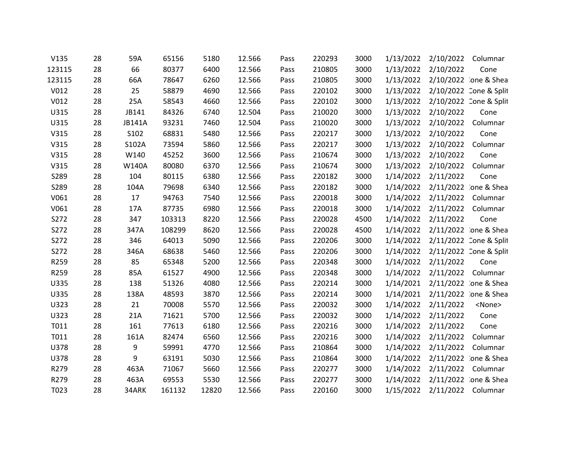| V135   | 28 | 59A    | 65156  | 5180  | 12.566 | Pass | 220293 | 3000 | 1/13/2022 | 2/10/2022              | Columnar      |
|--------|----|--------|--------|-------|--------|------|--------|------|-----------|------------------------|---------------|
| 123115 | 28 | 66     | 80377  | 6400  | 12.566 | Pass | 210805 | 3000 | 1/13/2022 | 2/10/2022              | Cone          |
| 123115 | 28 | 66A    | 78647  | 6260  | 12.566 | Pass | 210805 | 3000 | 1/13/2022 | 2/10/2022 one & Shea   |               |
| V012   | 28 | 25     | 58879  | 4690  | 12.566 | Pass | 220102 | 3000 | 1/13/2022 | 2/10/2022 Cone & Split |               |
| V012   | 28 | 25A    | 58543  | 4660  | 12.566 | Pass | 220102 | 3000 | 1/13/2022 | 2/10/2022 Cone & Split |               |
| U315   | 28 | JB141  | 84326  | 6740  | 12.504 | Pass | 210020 | 3000 | 1/13/2022 | 2/10/2022              | Cone          |
| U315   | 28 | JB141A | 93231  | 7460  | 12.504 | Pass | 210020 | 3000 | 1/13/2022 | 2/10/2022              | Columnar      |
| V315   | 28 | S102   | 68831  | 5480  | 12.566 | Pass | 220217 | 3000 | 1/13/2022 | 2/10/2022              | Cone          |
| V315   | 28 | S102A  | 73594  | 5860  | 12.566 | Pass | 220217 | 3000 | 1/13/2022 | 2/10/2022              | Columnar      |
| V315   | 28 | W140   | 45252  | 3600  | 12.566 | Pass | 210674 | 3000 | 1/13/2022 | 2/10/2022              | Cone          |
| V315   | 28 | W140A  | 80080  | 6370  | 12.566 | Pass | 210674 | 3000 | 1/13/2022 | 2/10/2022              | Columnar      |
| S289   | 28 | 104    | 80115  | 6380  | 12.566 | Pass | 220182 | 3000 | 1/14/2022 | 2/11/2022              | Cone          |
| S289   | 28 | 104A   | 79698  | 6340  | 12.566 | Pass | 220182 | 3000 | 1/14/2022 | 2/11/2022 one & Shea   |               |
| V061   | 28 | 17     | 94763  | 7540  | 12.566 | Pass | 220018 | 3000 | 1/14/2022 | 2/11/2022              | Columnar      |
| V061   | 28 | 17A    | 87735  | 6980  | 12.566 | Pass | 220018 | 3000 | 1/14/2022 | 2/11/2022              | Columnar      |
| S272   | 28 | 347    | 103313 | 8220  | 12.566 | Pass | 220028 | 4500 | 1/14/2022 | 2/11/2022              | Cone          |
| S272   | 28 | 347A   | 108299 | 8620  | 12.566 | Pass | 220028 | 4500 | 1/14/2022 | 2/11/2022 one & Shea   |               |
| S272   | 28 | 346    | 64013  | 5090  | 12.566 | Pass | 220206 | 3000 | 1/14/2022 | 2/11/2022 Cone & Split |               |
| S272   | 28 | 346A   | 68638  | 5460  | 12.566 | Pass | 220206 | 3000 | 1/14/2022 | 2/11/2022 Cone & Split |               |
| R259   | 28 | 85     | 65348  | 5200  | 12.566 | Pass | 220348 | 3000 | 1/14/2022 | 2/11/2022              | Cone          |
| R259   | 28 | 85A    | 61527  | 4900  | 12.566 | Pass | 220348 | 3000 | 1/14/2022 | 2/11/2022              | Columnar      |
| U335   | 28 | 138    | 51326  | 4080  | 12.566 | Pass | 220214 | 3000 | 1/14/2021 | 2/11/2022 one & Shea   |               |
| U335   | 28 | 138A   | 48593  | 3870  | 12.566 | Pass | 220214 | 3000 | 1/14/2021 | 2/11/2022 one & Shea   |               |
| U323   | 28 | 21     | 70008  | 5570  | 12.566 | Pass | 220032 | 3000 | 1/14/2022 | 2/11/2022              | <none></none> |
| U323   | 28 | 21A    | 71621  | 5700  | 12.566 | Pass | 220032 | 3000 | 1/14/2022 | 2/11/2022              | Cone          |
| T011   | 28 | 161    | 77613  | 6180  | 12.566 | Pass | 220216 | 3000 | 1/14/2022 | 2/11/2022              | Cone          |
| T011   | 28 | 161A   | 82474  | 6560  | 12.566 | Pass | 220216 | 3000 | 1/14/2022 | 2/11/2022              | Columnar      |
| U378   | 28 | 9      | 59991  | 4770  | 12.566 | Pass | 210864 | 3000 | 1/14/2022 | 2/11/2022              | Columnar      |
| U378   | 28 | 9      | 63191  | 5030  | 12.566 | Pass | 210864 | 3000 | 1/14/2022 | 2/11/2022 one & Shea   |               |
| R279   | 28 | 463A   | 71067  | 5660  | 12.566 | Pass | 220277 | 3000 | 1/14/2022 | 2/11/2022              | Columnar      |
| R279   | 28 | 463A   | 69553  | 5530  | 12.566 | Pass | 220277 | 3000 | 1/14/2022 | 2/11/2022 one & Shea   |               |
| T023   | 28 | 34ARK  | 161132 | 12820 | 12.566 | Pass | 220160 | 3000 | 1/15/2022 | 2/11/2022 Columnar     |               |